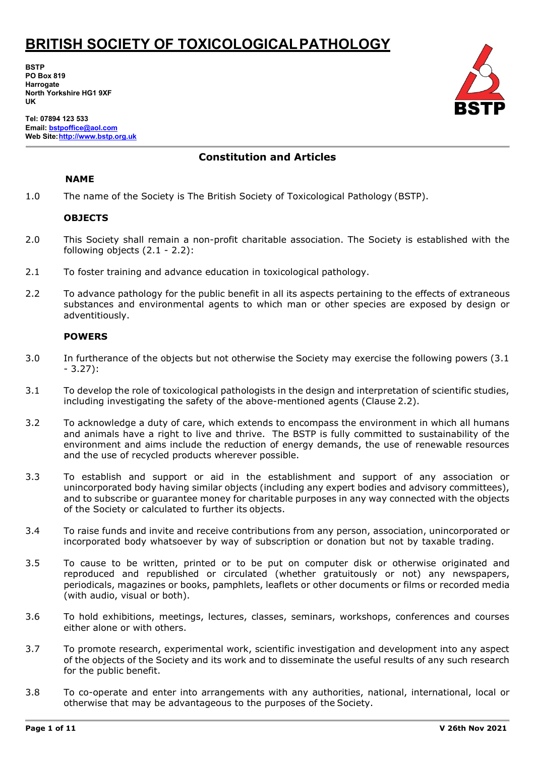**BSTP PO Box 819 Harrogate North Yorkshire HG1 9XF UK**

**Tel: 07894 123 533 Email[: bstpoffice@aol.com](mailto:bstpoffice@aol.com) Web Site[:http://www.bstp.org.uk](http://www.bstp.org.uk/)**

### **Constitution and Articles**

### **NAME**

1.0 The name of the Society is The British Society of Toxicological Pathology (BSTP).

#### **OBJECTS**

- 2.0 This Society shall remain a non-profit charitable association. The Society is established with the following objects (2.1 - 2.2):
- 2.1 To foster training and advance education in toxicological pathology.
- 2.2 To advance pathology for the public benefit in all its aspects pertaining to the effects of extraneous substances and environmental agents to which man or other species are exposed by design or adventitiously.

#### **POWERS**

- 3.0 In furtherance of the objects but not otherwise the Society may exercise the following powers (3.1 - 3.27):
- 3.1 To develop the role of toxicological pathologists in the design and interpretation of scientific studies, including investigating the safety of the above-mentioned agents (Clause 2.2).
- 3.2 To acknowledge a duty of care, which extends to encompass the environment in which all humans and animals have a right to live and thrive. The BSTP is fully committed to sustainability of the environment and aims include the reduction of energy demands, the use of renewable resources and the use of recycled products wherever possible.
- 3.3 To establish and support or aid in the establishment and support of any association or unincorporated body having similar objects (including any expert bodies and advisory committees), and to subscribe or guarantee money for charitable purposes in any way connected with the objects of the Society or calculated to further its objects.
- 3.4 To raise funds and invite and receive contributions from any person, association, unincorporated or incorporated body whatsoever by way of subscription or donation but not by taxable trading.
- 3.5 To cause to be written, printed or to be put on computer disk or otherwise originated and reproduced and republished or circulated (whether gratuitously or not) any newspapers, periodicals, magazines or books, pamphlets, leaflets or other documents or films or recorded media (with audio, visual or both).
- 3.6 To hold exhibitions, meetings, lectures, classes, seminars, workshops, conferences and courses either alone or with others.
- 3.7 To promote research, experimental work, scientific investigation and development into any aspect of the objects of the Society and its work and to disseminate the useful results of any such research for the public benefit.
- 3.8 To co-operate and enter into arrangements with any authorities, national, international, local or otherwise that may be advantageous to the purposes of the Society.

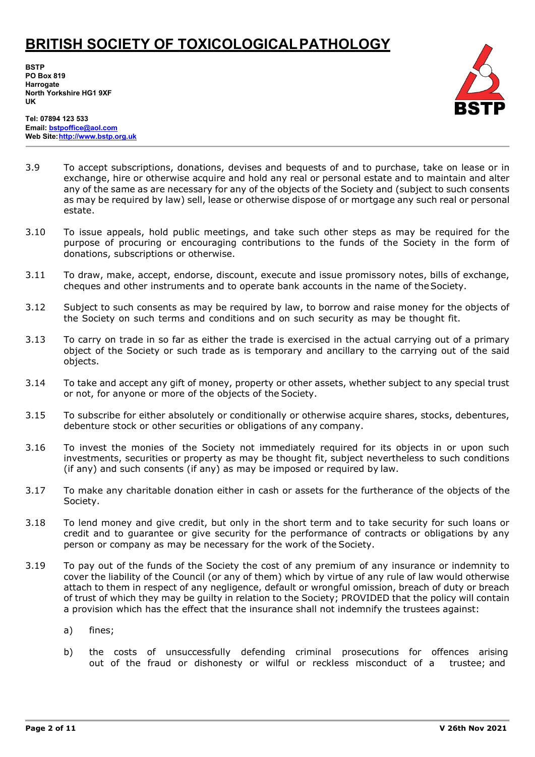**BSTP PO Box 819 Harrogate North Yorkshire HG1 9XF UK**



**Tel: 07894 123 533 Email[: bstpoffice@aol.com](mailto:bstpoffice@aol.com) Web Site[:http://www.bstp.org.uk](http://www.bstp.org.uk/)**

- 3.9 To accept subscriptions, donations, devises and bequests of and to purchase, take on lease or in exchange, hire or otherwise acquire and hold any real or personal estate and to maintain and alter any of the same as are necessary for any of the objects of the Society and (subject to such consents as may be required by law) sell, lease or otherwise dispose of or mortgage any such real or personal estate.
- 3.10 To issue appeals, hold public meetings, and take such other steps as may be required for the purpose of procuring or encouraging contributions to the funds of the Society in the form of donations, subscriptions or otherwise.
- 3.11 To draw, make, accept, endorse, discount, execute and issue promissory notes, bills of exchange, cheques and other instruments and to operate bank accounts in the name of theSociety.
- 3.12 Subject to such consents as may be required by law, to borrow and raise money for the objects of the Society on such terms and conditions and on such security as may be thought fit.
- 3.13 To carry on trade in so far as either the trade is exercised in the actual carrying out of a primary object of the Society or such trade as is temporary and ancillary to the carrying out of the said objects.
- 3.14 To take and accept any gift of money, property or other assets, whether subject to any special trust or not, for anyone or more of the objects of the Society.
- 3.15 To subscribe for either absolutely or conditionally or otherwise acquire shares, stocks, debentures, debenture stock or other securities or obligations of any company.
- 3.16 To invest the monies of the Society not immediately required for its objects in or upon such investments, securities or property as may be thought fit, subject nevertheless to such conditions (if any) and such consents (if any) as may be imposed or required by law.
- 3.17 To make any charitable donation either in cash or assets for the furtherance of the objects of the Society.
- 3.18 To lend money and give credit, but only in the short term and to take security for such loans or credit and to guarantee or give security for the performance of contracts or obligations by any person or company as may be necessary for the work of the Society.
- 3.19 To pay out of the funds of the Society the cost of any premium of any insurance or indemnity to cover the liability of the Council (or any of them) which by virtue of any rule of law would otherwise attach to them in respect of any negligence, default or wrongful omission, breach of duty or breach of trust of which they may be guilty in relation to the Society; PROVIDED that the policy will contain a provision which has the effect that the insurance shall not indemnify the trustees against:
	- a) fines;
	- b) the costs of unsuccessfully defending criminal prosecutions for offences arising out of the fraud or dishonesty or wilful or reckless misconduct of a trustee; and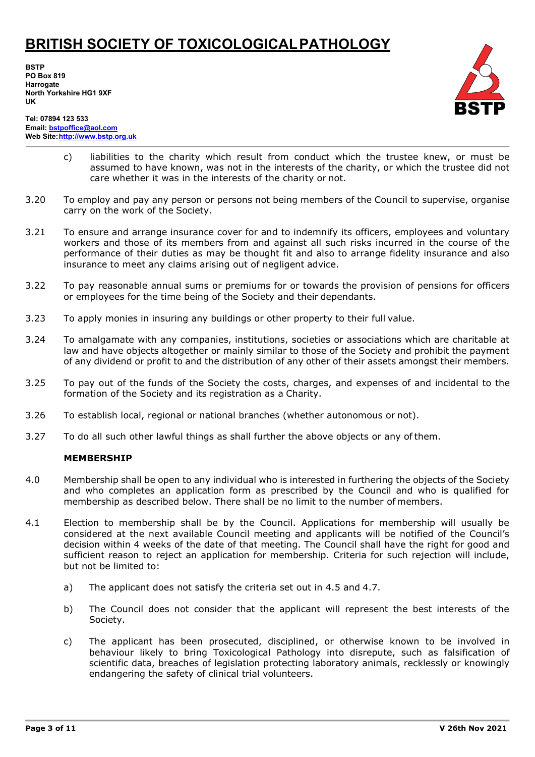**BSTP PO Box 819 Harrogate North Yorkshire HG1 9XF UK**



**Tel: 07894 123 533 Email[: bstpoffice@aol.com](mailto:bstpoffice@aol.com) Web Site[:http://www.bstp.org.uk](http://www.bstp.org.uk/)**

- c) liabilities to the charity which result from conduct which the trustee knew, or must be assumed to have known, was not in the interests of the charity, or which the trustee did not care whether it was in the interests of the charity or not.
- 3.20 To employ and pay any person or persons not being members of the Council to supervise, organise carry on the work of the Society.
- 3.21 To ensure and arrange insurance cover for and to indemnify its officers, employees and voluntary workers and those of its members from and against all such risks incurred in the course of the performance of their duties as may be thought fit and also to arrange fidelity insurance and also insurance to meet any claims arising out of negligent advice.
- 3.22 To pay reasonable annual sums or premiums for or towards the provision of pensions for officers or employees for the time being of the Society and their dependants.
- 3.23 To apply monies in insuring any buildings or other property to their full value.
- 3.24 To amalgamate with any companies, institutions, societies or associations which are charitable at law and have objects altogether or mainly similar to those of the Society and prohibit the payment of any dividend or profit to and the distribution of any other of their assets amongst their members.
- 3.25 To pay out of the funds of the Society the costs, charges, and expenses of and incidental to the formation of the Society and its registration as a Charity.
- 3.26 To establish local, regional or national branches (whether autonomous or not).
- 3.27 To do all such other lawful things as shall further the above objects or any of them.

#### **MEMBERSHIP**

- 4.0 Membership shall be open to any individual who is interested in furthering the objects of the Society and who completes an application form as prescribed by the Council and who is qualified for membership as described below. There shall be no limit to the number of members.
- 4.1 Election to membership shall be by the Council. Applications for membership will usually be considered at the next available Council meeting and applicants will be notified of the Council's decision within 4 weeks of the date of that meeting. The Council shall have the right for good and sufficient reason to reject an application for membership. Criteria for such rejection will include, but not be limited to:
	- a) The applicant does not satisfy the criteria set out in 4.5 and 4.7.
	- b) The Council does not consider that the applicant will represent the best interests of the Society.
	- c) The applicant has been prosecuted, disciplined, or otherwise known to be involved in behaviour likely to bring Toxicological Pathology into disrepute, such as falsification of scientific data, breaches of legislation protecting laboratory animals, recklessly or knowingly endangering the safety of clinical trial volunteers.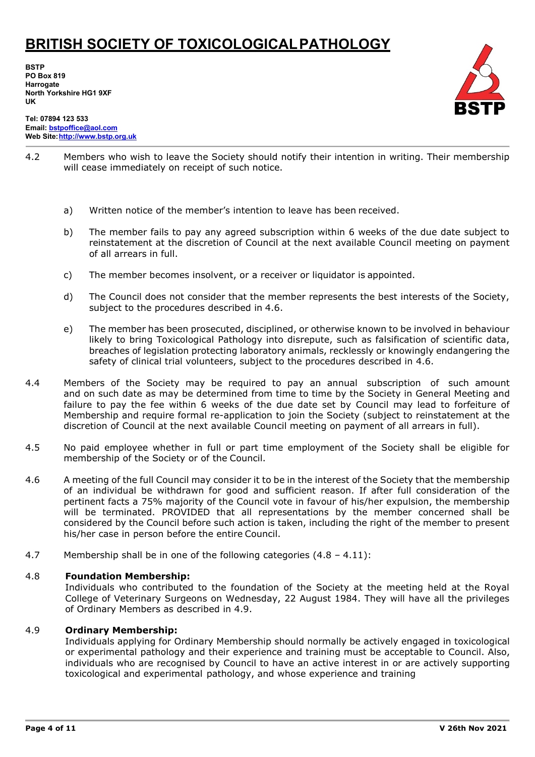**BSTP PO Box 819 Harrogate North Yorkshire HG1 9XF UK**



**Tel: 07894 123 533 Email[: bstpoffice@aol.com](mailto:bstpoffice@aol.com) Web Site[:http://www.bstp.org.uk](http://www.bstp.org.uk/)**

- 4.2 Members who wish to leave the Society should notify their intention in writing. Their membership will cease immediately on receipt of such notice.
	- a) Written notice of the member's intention to leave has been received.
	- b) The member fails to pay any agreed subscription within 6 weeks of the due date subject to reinstatement at the discretion of Council at the next available Council meeting on payment of all arrears in full.
	- c) The member becomes insolvent, or a receiver or liquidator is appointed.
	- d) The Council does not consider that the member represents the best interests of the Society, subject to the procedures described in 4.6.
	- e) The member has been prosecuted, disciplined, or otherwise known to be involved in behaviour likely to bring Toxicological Pathology into disrepute, such as falsification of scientific data, breaches of legislation protecting laboratory animals, recklessly or knowingly endangering the safety of clinical trial volunteers, subject to the procedures described in 4.6.
- 4.4 Members of the Society may be required to pay an annual subscription of such amount and on such date as may be determined from time to time by the Society in General Meeting and failure to pay the fee within 6 weeks of the due date set by Council may lead to forfeiture of Membership and require formal re-application to join the Society (subject to reinstatement at the discretion of Council at the next available Council meeting on payment of all arrears in full).
- 4.5 No paid employee whether in full or part time employment of the Society shall be eligible for membership of the Society or of the Council.
- 4.6 A meeting of the full Council may consider it to be in the interest of the Society that the membership of an individual be withdrawn for good and sufficient reason. If after full consideration of the pertinent facts a 75% majority of the Council vote in favour of his/her expulsion, the membership will be terminated. PROVIDED that all representations by the member concerned shall be considered by the Council before such action is taken, including the right of the member to present his/her case in person before the entire Council.
- 4.7 Membership shall be in one of the following categories (4.8 4.11):

#### 4.8 **Foundation Membership:**

Individuals who contributed to the foundation of the Society at the meeting held at the Royal College of Veterinary Surgeons on Wednesday, 22 August 1984. They will have all the privileges of Ordinary Members as described in 4.9.

#### 4.9 **Ordinary Membership:**

Individuals applying for Ordinary Membership should normally be actively engaged in toxicological or experimental pathology and their experience and training must be acceptable to Council. Also, individuals who are recognised by Council to have an active interest in or are actively supporting toxicological and experimental pathology, and whose experience and training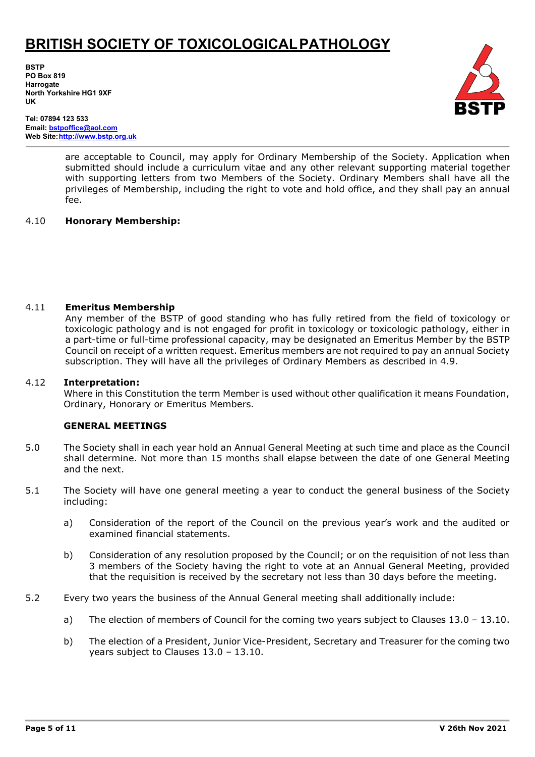**BSTP PO Box 819 Harrogate North Yorkshire HG1 9XF UK**



**Tel: 07894 123 533 Email[: bstpoffice@aol.com](mailto:bstpoffice@aol.com) Web Site[:http://www.bstp.org.uk](http://www.bstp.org.uk/)**

> are acceptable to Council, may apply for Ordinary Membership of the Society. Application when submitted should include a curriculum vitae and any other relevant supporting material together with supporting letters from two Members of the Society. Ordinary Members shall have all the privileges of Membership, including the right to vote and hold office, and they shall pay an annual fee.

#### 4.10 **Honorary Membership:**

#### 4.11 **Emeritus Membership**

Any member of the BSTP of good standing who has fully retired from the field of toxicology or toxicologic pathology and is not engaged for profit in toxicology or toxicologic pathology, either in a part-time or full-time professional capacity, may be designated an Emeritus Member by the BSTP Council on receipt of a written request. Emeritus members are not required to pay an annual Society subscription. They will have all the privileges of Ordinary Members as described in 4.9.

#### 4.12 **Interpretation:**

Where in this Constitution the term Member is used without other qualification it means Foundation, Ordinary, Honorary or Emeritus Members.

#### **GENERAL MEETINGS**

- 5.0 The Society shall in each year hold an Annual General Meeting at such time and place as the Council shall determine. Not more than 15 months shall elapse between the date of one General Meeting and the next.
- 5.1 The Society will have one general meeting a year to conduct the general business of the Society including:
	- a) Consideration of the report of the Council on the previous year's work and the audited or examined financial statements.
	- b) Consideration of any resolution proposed by the Council; or on the requisition of not less than 3 members of the Society having the right to vote at an Annual General Meeting, provided that the requisition is received by the secretary not less than 30 days before the meeting.
- 5.2 Every two years the business of the Annual General meeting shall additionally include:
	- a) The election of members of Council for the coming two years subject to Clauses 13.0 13.10.
	- b) The election of a President, Junior Vice-President, Secretary and Treasurer for the coming two years subject to Clauses 13.0 – 13.10.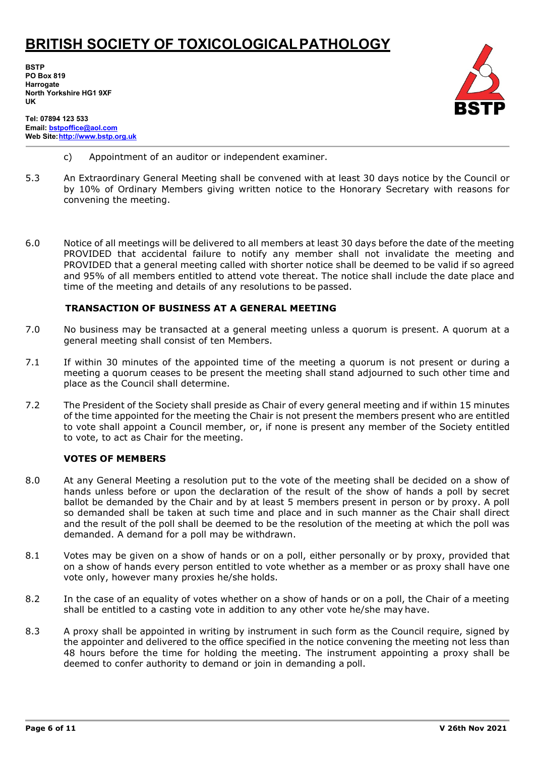**BSTP PO Box 819 Harrogate North Yorkshire HG1 9XF UK**



- **Tel: 07894 123 533 Email[: bstpoffice@aol.com](mailto:bstpoffice@aol.com) Web Site[:http://www.bstp.org.uk](http://www.bstp.org.uk/)**
	- c) Appointment of an auditor or independent examiner.
- 5.3 An Extraordinary General Meeting shall be convened with at least 30 days notice by the Council or by 10% of Ordinary Members giving written notice to the Honorary Secretary with reasons for convening the meeting.
- 6.0 Notice of all meetings will be delivered to all members at least 30 days before the date of the meeting PROVIDED that accidental failure to notify any member shall not invalidate the meeting and PROVIDED that a general meeting called with shorter notice shall be deemed to be valid if so agreed and 95% of all members entitled to attend vote thereat. The notice shall include the date place and time of the meeting and details of any resolutions to be passed.

#### **TRANSACTION OF BUSINESS AT A GENERAL MEETING**

- 7.0 No business may be transacted at a general meeting unless a quorum is present. A quorum at a general meeting shall consist of ten Members.
- 7.1 If within 30 minutes of the appointed time of the meeting a quorum is not present or during a meeting a quorum ceases to be present the meeting shall stand adjourned to such other time and place as the Council shall determine.
- 7.2 The President of the Society shall preside as Chair of every general meeting and if within 15 minutes of the time appointed for the meeting the Chair is not present the members present who are entitled to vote shall appoint a Council member, or, if none is present any member of the Society entitled to vote, to act as Chair for the meeting.

#### **VOTES OF MEMBERS**

- 8.0 At any General Meeting a resolution put to the vote of the meeting shall be decided on a show of hands unless before or upon the declaration of the result of the show of hands a poll by secret ballot be demanded by the Chair and by at least 5 members present in person or by proxy. A poll so demanded shall be taken at such time and place and in such manner as the Chair shall direct and the result of the poll shall be deemed to be the resolution of the meeting at which the poll was demanded. A demand for a poll may be withdrawn.
- 8.1 Votes may be given on a show of hands or on a poll, either personally or by proxy, provided that on a show of hands every person entitled to vote whether as a member or as proxy shall have one vote only, however many proxies he/she holds.
- 8.2 In the case of an equality of votes whether on a show of hands or on a poll, the Chair of a meeting shall be entitled to a casting vote in addition to any other vote he/she may have.
- 8.3 A proxy shall be appointed in writing by instrument in such form as the Council require, signed by the appointer and delivered to the office specified in the notice convening the meeting not less than 48 hours before the time for holding the meeting. The instrument appointing a proxy shall be deemed to confer authority to demand or join in demanding a poll.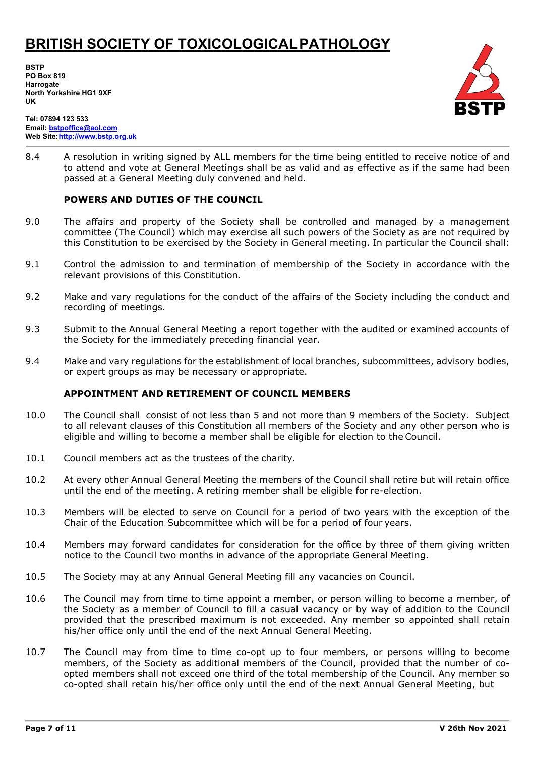**BSTP PO Box 819 Harrogate North Yorkshire HG1 9XF UK**



**Tel: 07894 123 533 Email[: bstpoffice@aol.com](mailto:bstpoffice@aol.com) Web Site[:http://www.bstp.org.uk](http://www.bstp.org.uk/)**

8.4 A resolution in writing signed by ALL members for the time being entitled to receive notice of and to attend and vote at General Meetings shall be as valid and as effective as if the same had been passed at a General Meeting duly convened and held.

### **POWERS AND DUTIES OF THE COUNCIL**

- 9.0 The affairs and property of the Society shall be controlled and managed by a management committee (The Council) which may exercise all such powers of the Society as are not required by this Constitution to be exercised by the Society in General meeting. In particular the Council shall:
- 9.1 Control the admission to and termination of membership of the Society in accordance with the relevant provisions of this Constitution.
- 9.2 Make and vary regulations for the conduct of the affairs of the Society including the conduct and recording of meetings.
- 9.3 Submit to the Annual General Meeting a report together with the audited or examined accounts of the Society for the immediately preceding financial year.
- 9.4 Make and vary regulations for the establishment of local branches, subcommittees, advisory bodies, or expert groups as may be necessary or appropriate.

#### **APPOINTMENT AND RETIREMENT OF COUNCIL MEMBERS**

- 10.0 The Council shall consist of not less than 5 and not more than 9 members of the Society. Subject to all relevant clauses of this Constitution all members of the Society and any other person who is eligible and willing to become a member shall be eligible for election to the Council.
- 10.1 Council members act as the trustees of the charity.
- 10.2 At every other Annual General Meeting the members of the Council shall retire but will retain office until the end of the meeting. A retiring member shall be eligible for re-election.
- 10.3 Members will be elected to serve on Council for a period of two years with the exception of the Chair of the Education Subcommittee which will be for a period of four years.
- 10.4 Members may forward candidates for consideration for the office by three of them giving written notice to the Council two months in advance of the appropriate General Meeting.
- 10.5 The Society may at any Annual General Meeting fill any vacancies on Council.
- 10.6 The Council may from time to time appoint a member, or person willing to become a member, of the Society as a member of Council to fill a casual vacancy or by way of addition to the Council provided that the prescribed maximum is not exceeded. Any member so appointed shall retain his/her office only until the end of the next Annual General Meeting.
- 10.7 The Council may from time to time co-opt up to four members, or persons willing to become members, of the Society as additional members of the Council, provided that the number of coopted members shall not exceed one third of the total membership of the Council. Any member so co-opted shall retain his/her office only until the end of the next Annual General Meeting, but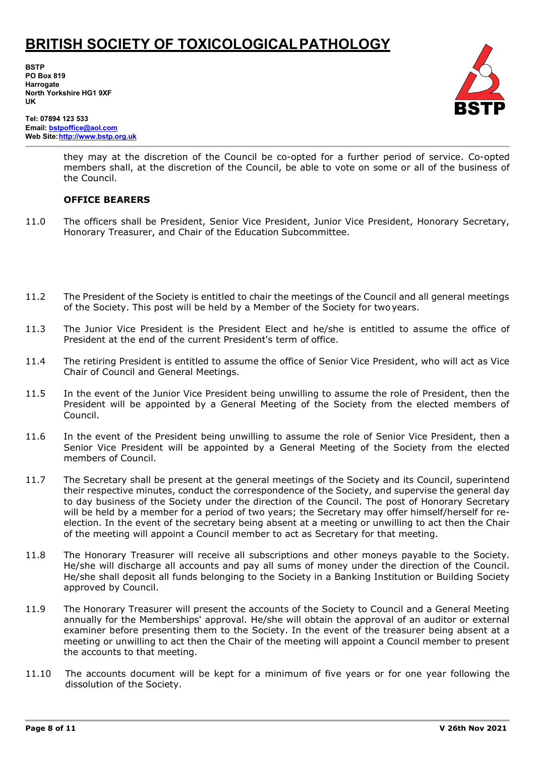**BSTP PO Box 819 Harrogate North Yorkshire HG1 9XF UK**



**Tel: 07894 123 533 Email[: bstpoffice@aol.com](mailto:bstpoffice@aol.com) Web Site[:http://www.bstp.org.uk](http://www.bstp.org.uk/)**

> they may at the discretion of the Council be co-opted for a further period of service. Co-opted members shall, at the discretion of the Council, be able to vote on some or all of the business of the Council.

### **OFFICE BEARERS**

- 11.0 The officers shall be President, Senior Vice President, Junior Vice President, Honorary Secretary, Honorary Treasurer, and Chair of the Education Subcommittee.
- 11.2 The President of the Society is entitled to chair the meetings of the Council and all general meetings of the Society. This post will be held by a Member of the Society for twoyears.
- 11.3 The Junior Vice President is the President Elect and he/she is entitled to assume the office of President at the end of the current President's term of office.
- 11.4 The retiring President is entitled to assume the office of Senior Vice President, who will act as Vice Chair of Council and General Meetings.
- 11.5 In the event of the Junior Vice President being unwilling to assume the role of President, then the President will be appointed by a General Meeting of the Society from the elected members of Council.
- 11.6 In the event of the President being unwilling to assume the role of Senior Vice President, then a Senior Vice President will be appointed by a General Meeting of the Society from the elected members of Council.
- 11.7 The Secretary shall be present at the general meetings of the Society and its Council, superintend their respective minutes, conduct the correspondence of the Society, and supervise the general day to day business of the Society under the direction of the Council. The post of Honorary Secretary will be held by a member for a period of two years; the Secretary may offer himself/herself for reelection. In the event of the secretary being absent at a meeting or unwilling to act then the Chair of the meeting will appoint a Council member to act as Secretary for that meeting.
- 11.8 The Honorary Treasurer will receive all subscriptions and other moneys payable to the Society. He/she will discharge all accounts and pay all sums of money under the direction of the Council. He/she shall deposit all funds belonging to the Society in a Banking Institution or Building Society approved by Council.
- 11.9 The Honorary Treasurer will present the accounts of the Society to Council and a General Meeting annually for the Memberships' approval. He/she will obtain the approval of an auditor or external examiner before presenting them to the Society. In the event of the treasurer being absent at a meeting or unwilling to act then the Chair of the meeting will appoint a Council member to present the accounts to that meeting.
- 11.10 The accounts document will be kept for a minimum of five years or for one year following the dissolution of the Society.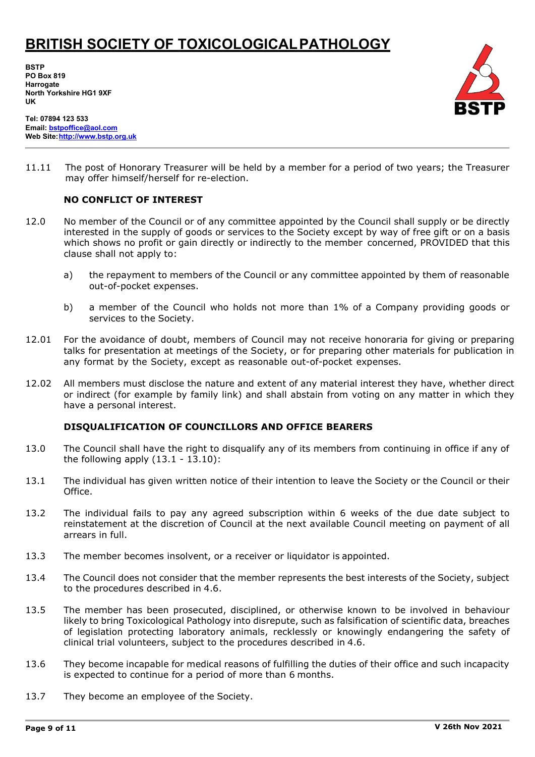**BSTP PO Box 819 Harrogate North Yorkshire HG1 9XF UK**



**Tel: 07894 123 533 Email[: bstpoffice@aol.com](mailto:bstpoffice@aol.com) Web Site[:http://www.bstp.org.uk](http://www.bstp.org.uk/)**

11.11 The post of Honorary Treasurer will be held by a member for a period of two years; the Treasurer may offer himself/herself for re-election.

#### **NO CONFLICT OF INTEREST**

- 12.0 No member of the Council or of any committee appointed by the Council shall supply or be directly interested in the supply of goods or services to the Society except by way of free gift or on a basis which shows no profit or gain directly or indirectly to the member concerned, PROVIDED that this clause shall not apply to:
	- a) the repayment to members of the Council or any committee appointed by them of reasonable out-of-pocket expenses.
	- b) a member of the Council who holds not more than 1% of a Company providing goods or services to the Society.
- 12.01 For the avoidance of doubt, members of Council may not receive honoraria for giving or preparing talks for presentation at meetings of the Society, or for preparing other materials for publication in any format by the Society, except as reasonable out-of-pocket expenses.
- 12.02 All members must disclose the nature and extent of any material interest they have, whether direct or indirect (for example by family link) and shall abstain from voting on any matter in which they have a personal interest.

#### **DISQUALIFICATION OF COUNCILLORS AND OFFICE BEARERS**

- 13.0 The Council shall have the right to disqualify any of its members from continuing in office if any of the following apply  $(13.1 - 13.10)$ :
- 13.1 The individual has given written notice of their intention to leave the Society or the Council or their Office.
- 13.2 The individual fails to pay any agreed subscription within 6 weeks of the due date subject to reinstatement at the discretion of Council at the next available Council meeting on payment of all arrears in full.
- 13.3 The member becomes insolvent, or a receiver or liquidator is appointed.
- 13.4 The Council does not consider that the member represents the best interests of the Society, subject to the procedures described in 4.6.
- 13.5 The member has been prosecuted, disciplined, or otherwise known to be involved in behaviour likely to bring Toxicological Pathology into disrepute, such as falsification of scientific data, breaches of legislation protecting laboratory animals, recklessly or knowingly endangering the safety of clinical trial volunteers, subject to the procedures described in 4.6.
- 13.6 They become incapable for medical reasons of fulfilling the duties of their office and such incapacity is expected to continue for a period of more than 6 months.
- 13.7 They become an employee of the Society.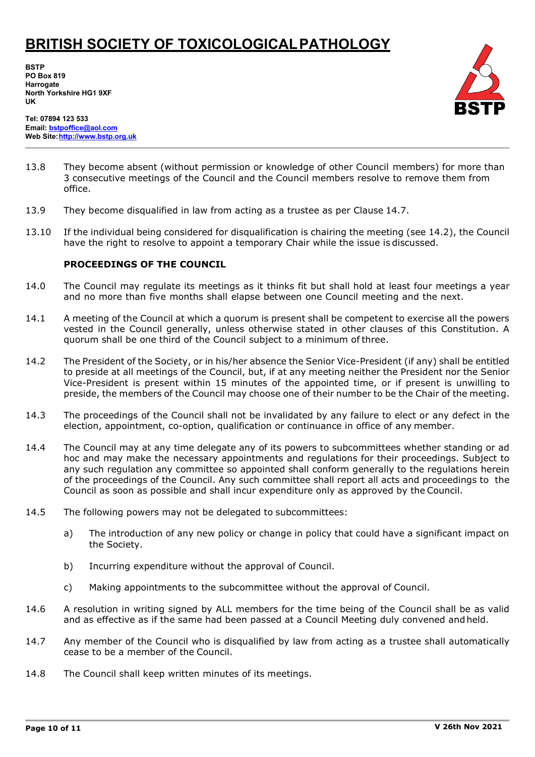**BSTP PO Box 819 Harrogate North Yorkshire HG1 9XF UK**



**Tel: 07894 123 533 Email[: bstpoffice@aol.com](mailto:bstpoffice@aol.com) Web Site[:http://www.bstp.org.uk](http://www.bstp.org.uk/)**

- 13.8 They become absent (without permission or knowledge of other Council members) for more than 3 consecutive meetings of the Council and the Council members resolve to remove them from office.
- 13.9 They become disqualified in law from acting as a trustee as per Clause 14.7.
- 13.10 If the individual being considered for disqualification is chairing the meeting (see 14.2), the Council have the right to resolve to appoint a temporary Chair while the issue is discussed.

#### **PROCEEDINGS OF THE COUNCIL**

- 14.0 The Council may regulate its meetings as it thinks fit but shall hold at least four meetings a year and no more than five months shall elapse between one Council meeting and the next.
- 14.1 A meeting of the Council at which a quorum is present shall be competent to exercise all the powers vested in the Council generally, unless otherwise stated in other clauses of this Constitution. A quorum shall be one third of the Council subject to a minimum of three.
- 14.2 The President of the Society, or in his/her absence the Senior Vice-President (if any) shall be entitled to preside at all meetings of the Council, but, if at any meeting neither the President nor the Senior Vice-President is present within 15 minutes of the appointed time, or if present is unwilling to preside, the members of the Council may choose one of their number to be the Chair of the meeting.
- 14.3 The proceedings of the Council shall not be invalidated by any failure to elect or any defect in the election, appointment, co-option, qualification or continuance in office of any member.
- 14.4 The Council may at any time delegate any of its powers to subcommittees whether standing or ad hoc and may make the necessary appointments and regulations for their proceedings. Subject to any such regulation any committee so appointed shall conform generally to the regulations herein of the proceedings of the Council. Any such committee shall report all acts and proceedings to the Council as soon as possible and shall incur expenditure only as approved by the Council.
- 14.5 The following powers may not be delegated to subcommittees:
	- a) The introduction of any new policy or change in policy that could have a significant impact on the Society.
	- b) Incurring expenditure without the approval of Council.
	- c) Making appointments to the subcommittee without the approval of Council.
- 14.6 A resolution in writing signed by ALL members for the time being of the Council shall be as valid and as effective as if the same had been passed at a Council Meeting duly convened and held.
- 14.7 Any member of the Council who is disqualified by law from acting as a trustee shall automatically cease to be a member of the Council.
- 14.8 The Council shall keep written minutes of its meetings.